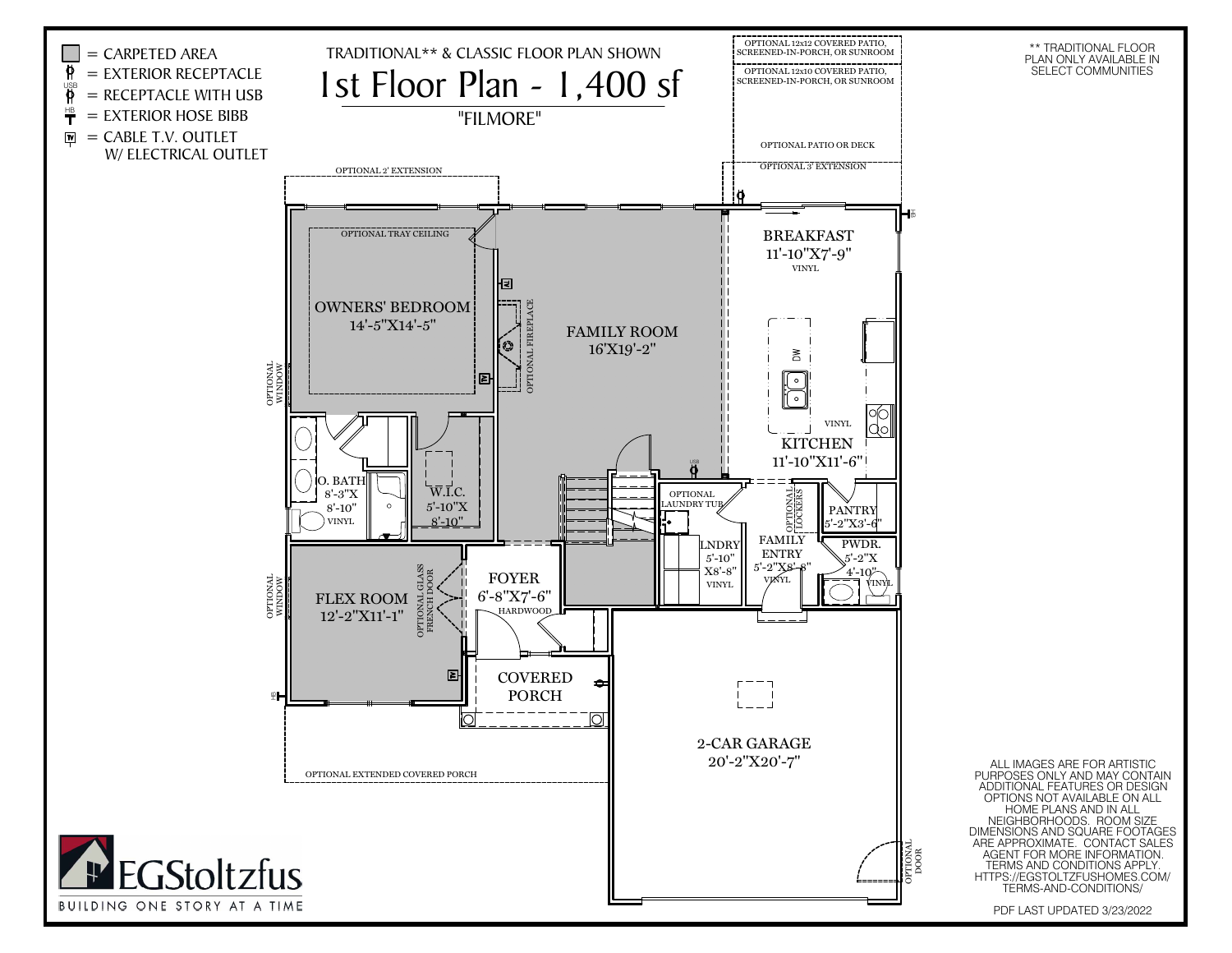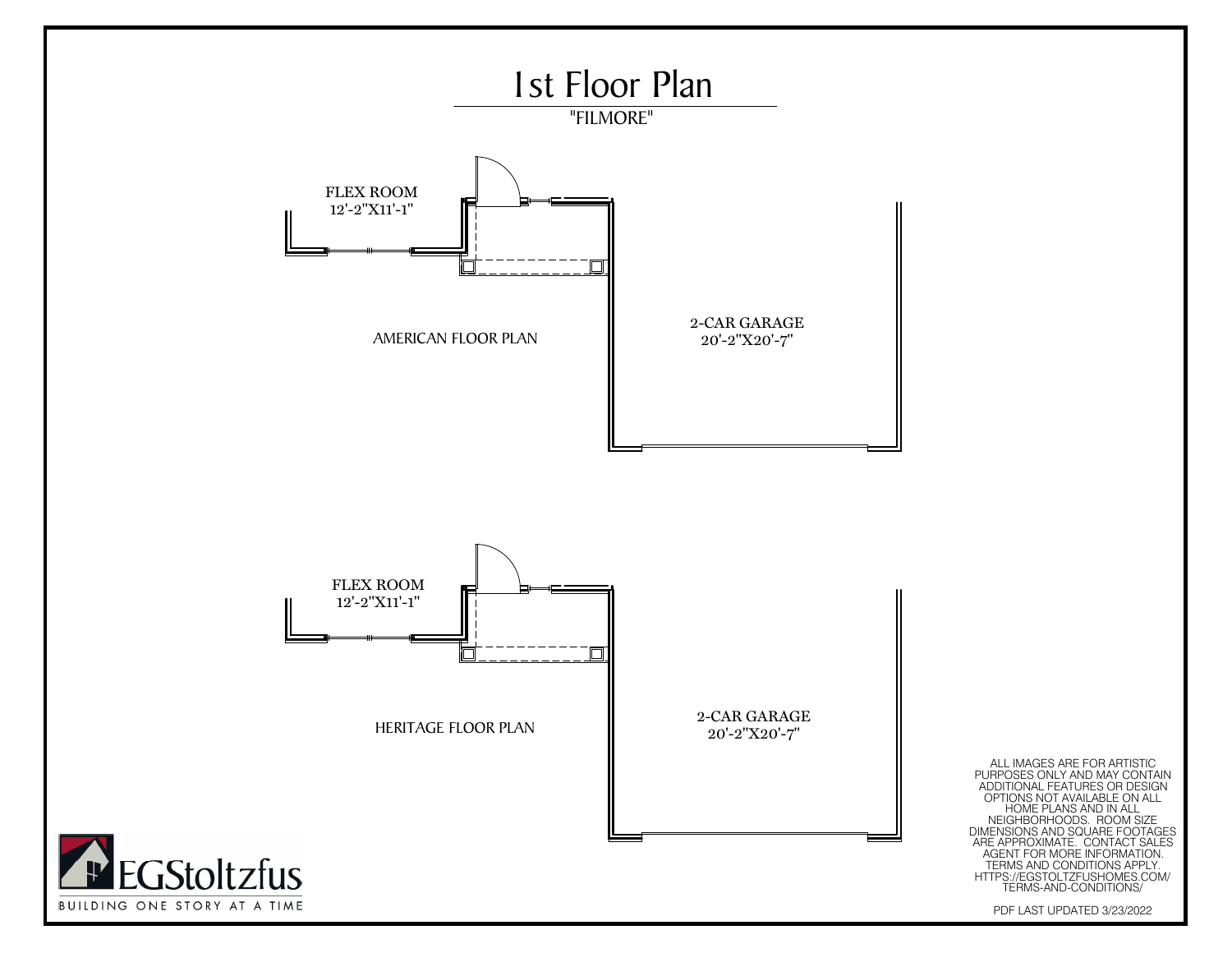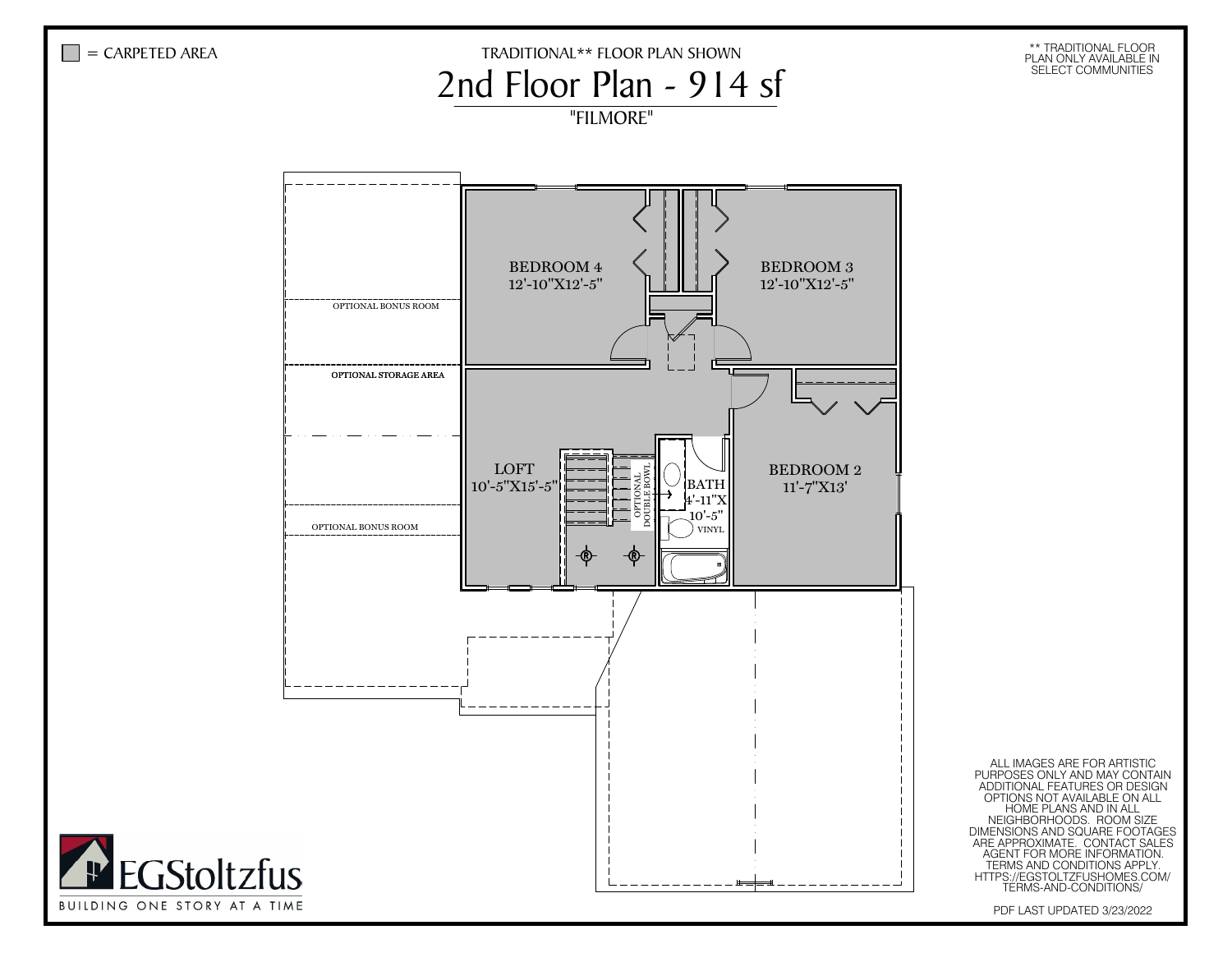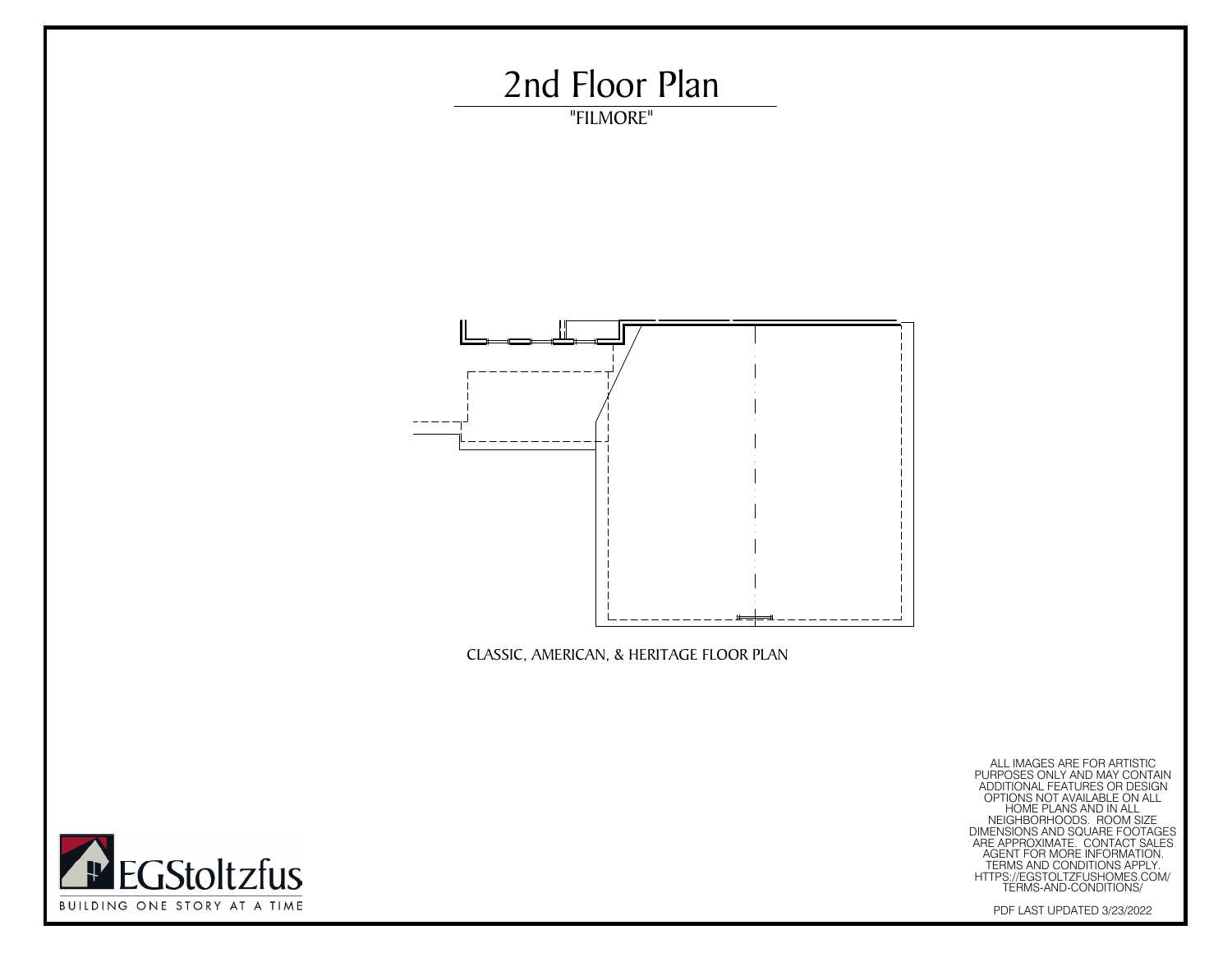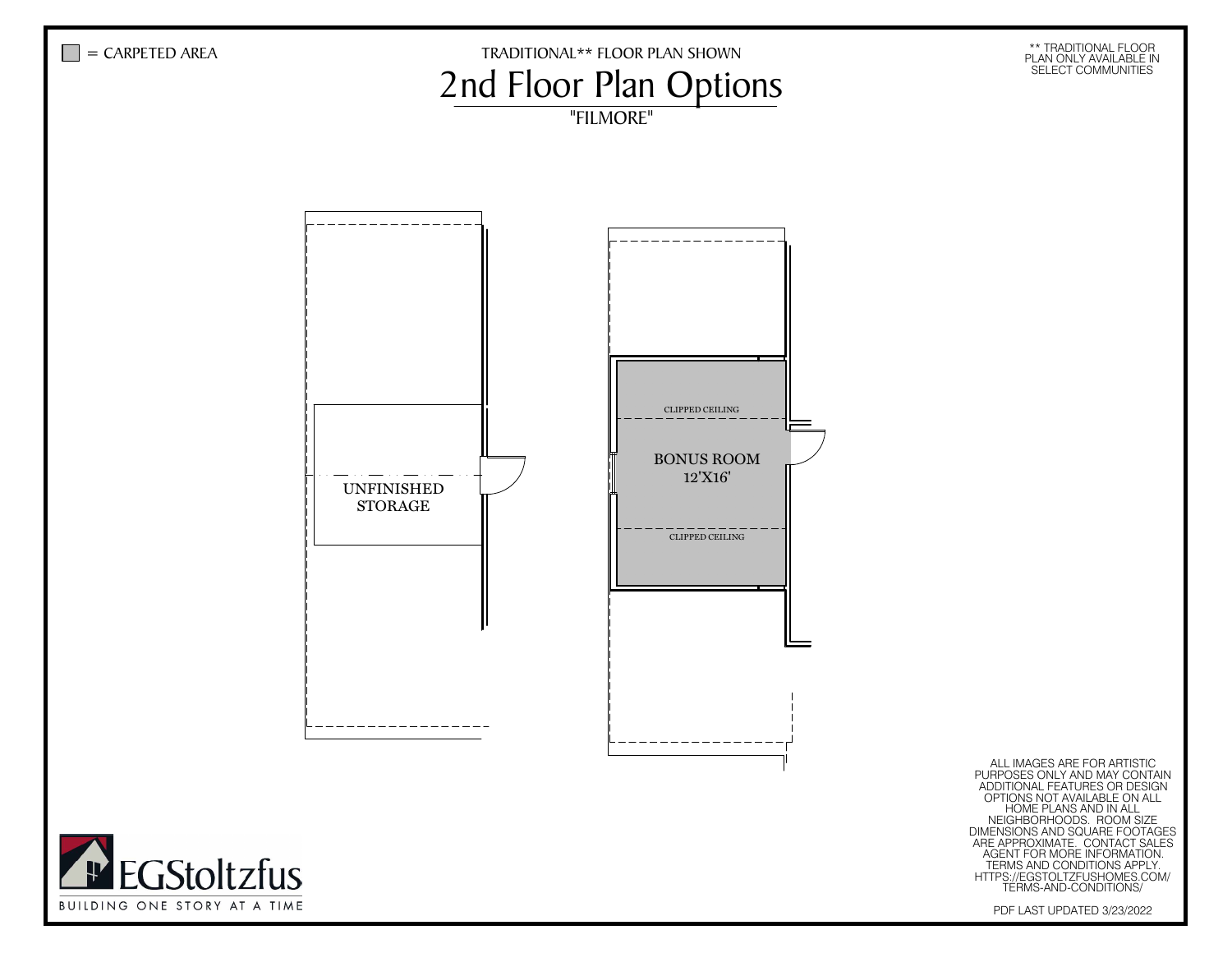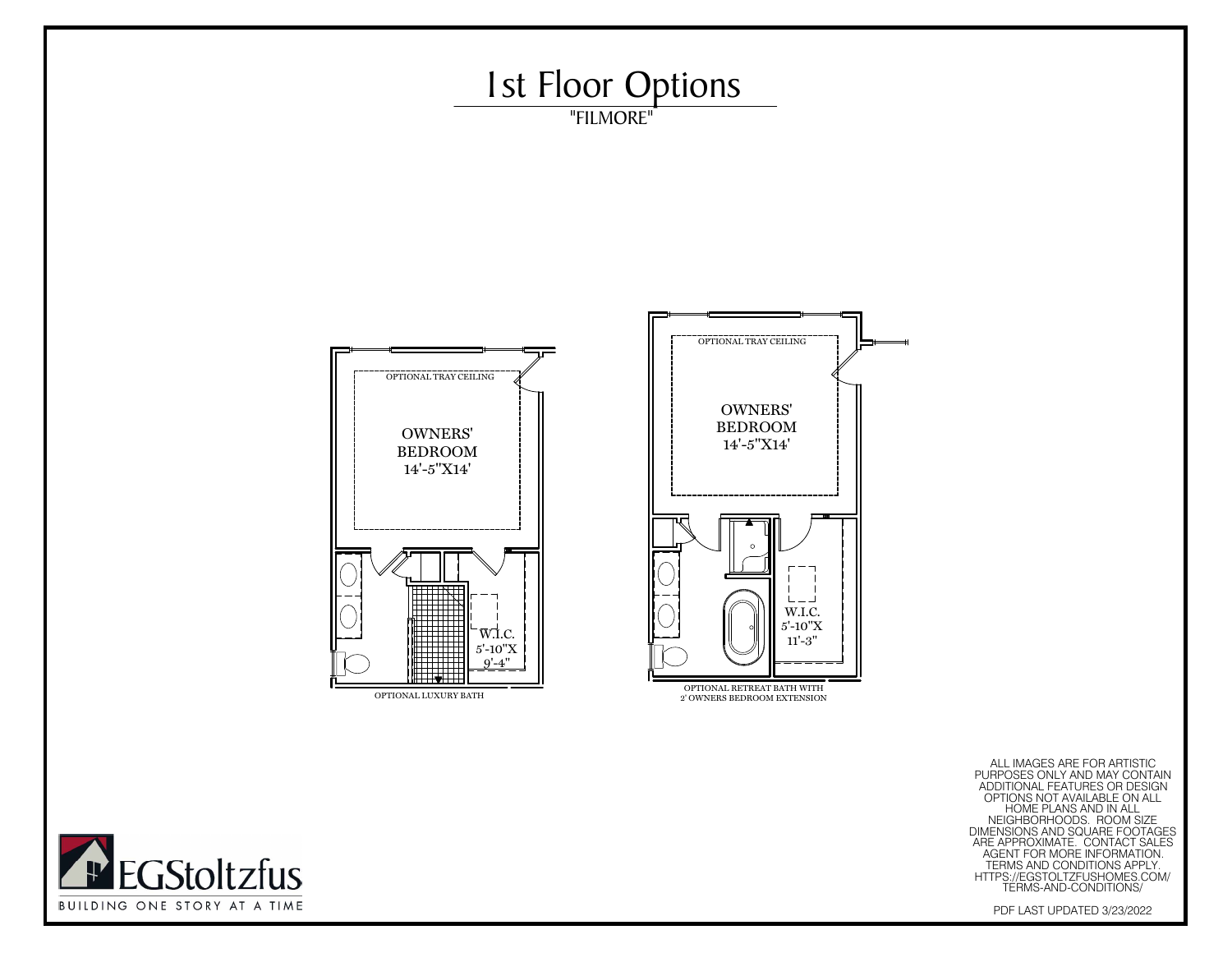

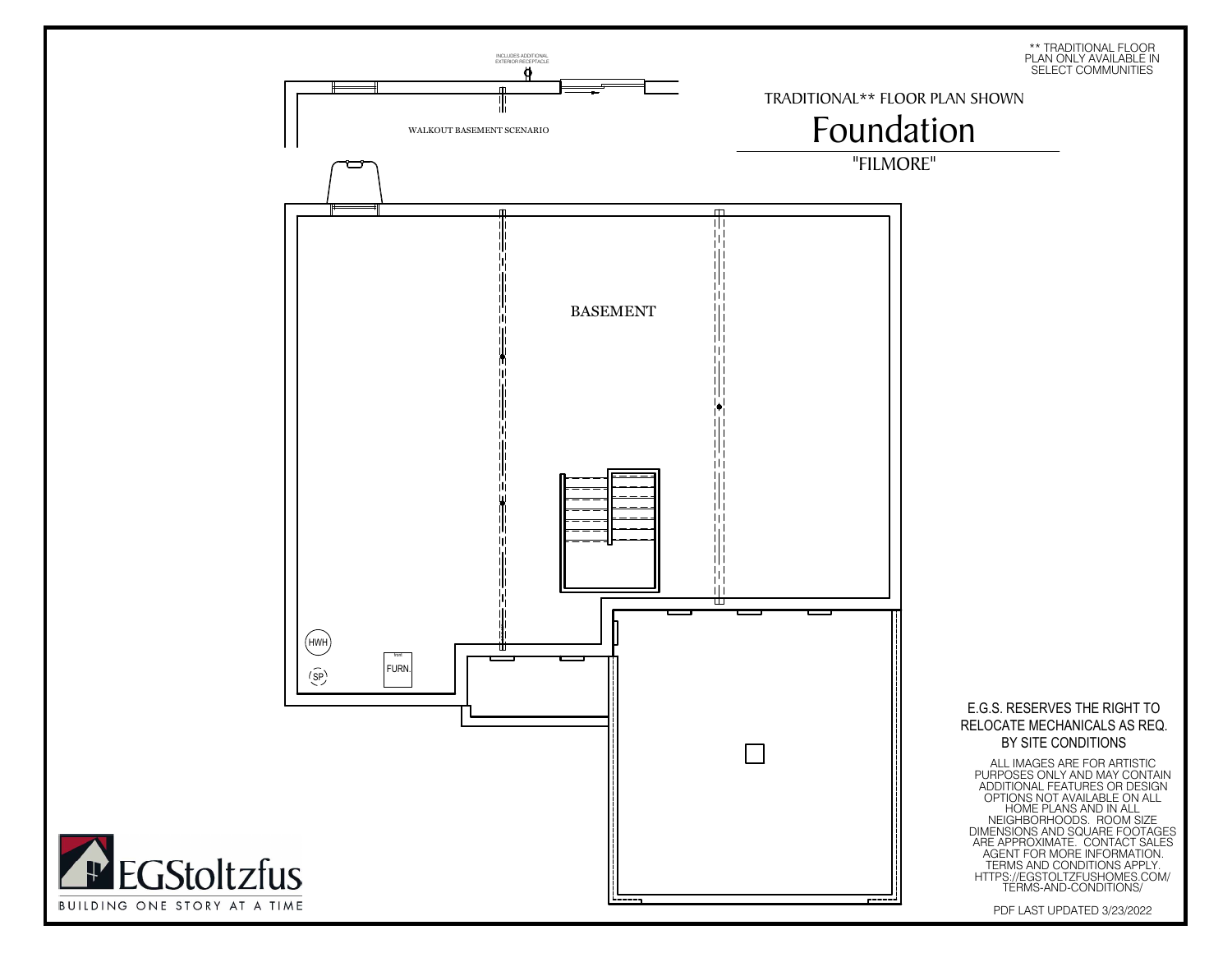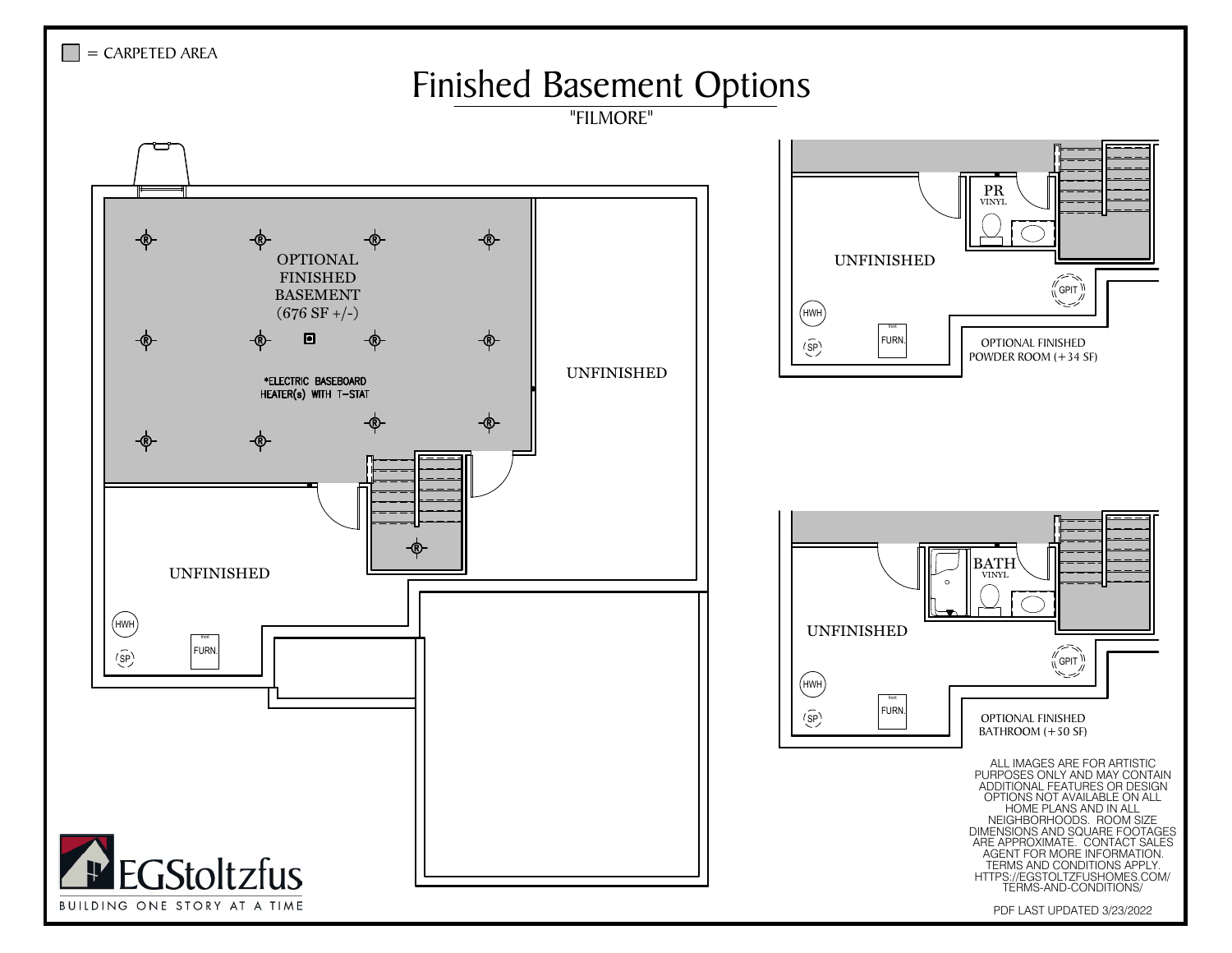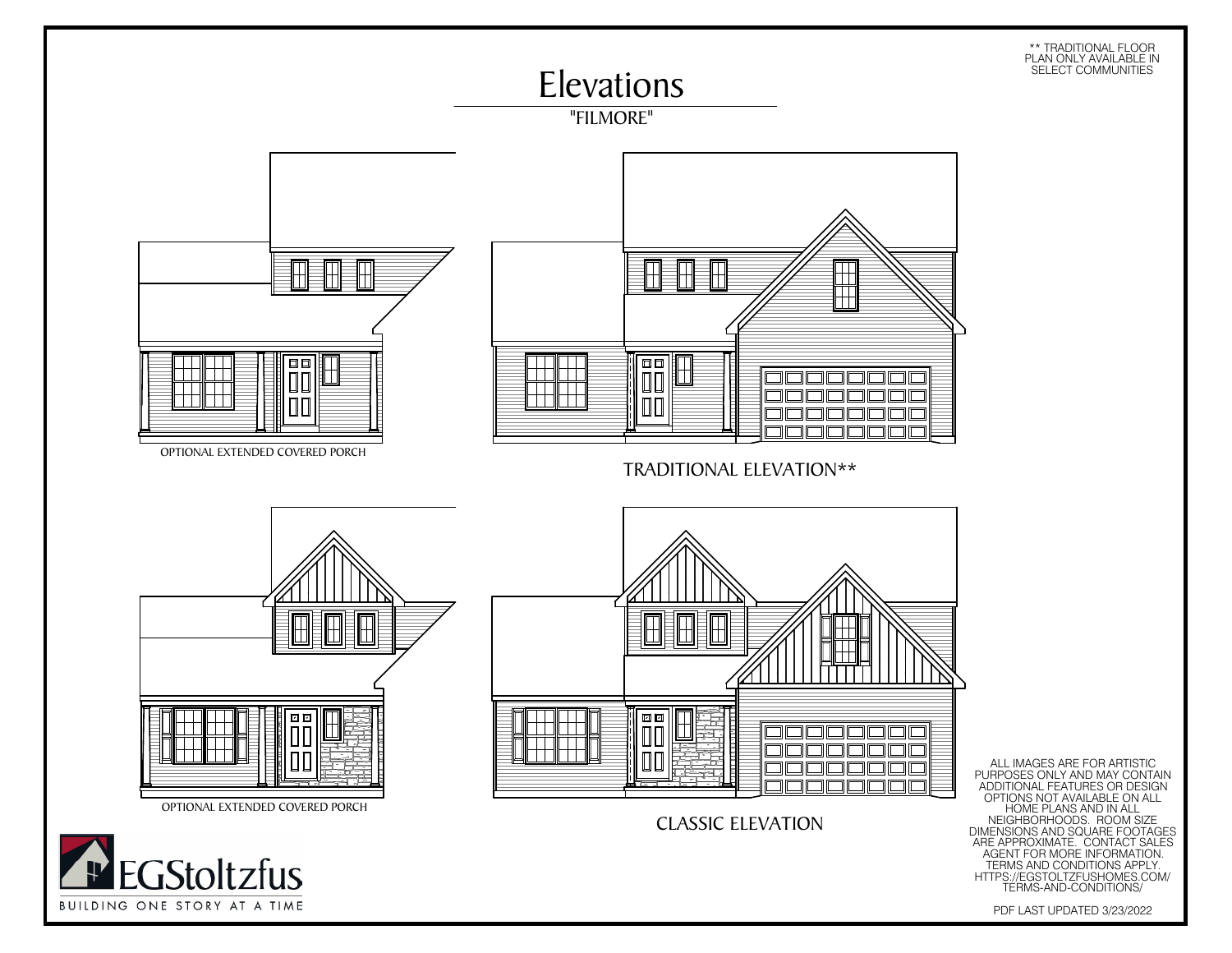